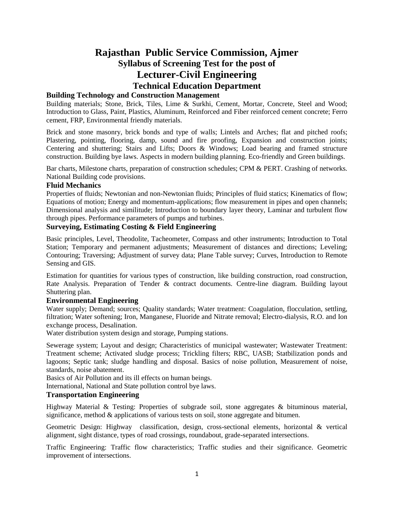# **Rajasthan Public Service Commission, Ajmer Syllabus of Screening Test for the post of Lecturer-Civil Engineering Technical Education Department**

# **Building Technology and Construction Management**

Building materials; Stone, Brick, Tiles, Lime & Surkhi, Cement, Mortar, Concrete, Steel and Wood; Introduction to Glass, Paint, Plastics, Aluminum, Reinforced and Fiber reinforced cement concrete; Ferro cement, FRP, Environmental friendly materials.

Brick and stone masonry, brick bonds and type of walls; Lintels and Arches; flat and pitched roofs; Plastering, pointing, flooring, damp, sound and fire proofing, Expansion and construction joints; Centering and shuttering; Stairs and Lifts; Doors & Windows; Load bearing and framed structure construction. Building bye laws. Aspects in modern building planning. Eco-friendly and Green buildings.

Bar charts, Milestone charts, preparation of construction schedules; CPM & PERT. Crashing of networks. National Building code provisions.

## **Fluid Mechanics**

Properties of fluids; Newtonian and non-Newtonian fluids; Principles of fluid statics; Kinematics of flow; Equations of motion; Energy and momentum-applications; flow measurement in pipes and open channels; Dimensional analysis and similitude; Introduction to boundary layer theory, Laminar and turbulent flow through pipes. Performance parameters of pumps and turbines.

### **Surveying, Estimating Costing & Field Engineering**

Basic principles, Level, Theodolite, Tacheometer, Compass and other instruments; Introduction to Total Station; Temporary and permanent adjustments; Measurement of distances and directions; Leveling; Contouring; Traversing; Adjustment of survey data; Plane Table survey; Curves, Introduction to Remote Sensing and GIS.

Estimation for quantities for various types of construction, like building construction, road construction, Rate Analysis. Preparation of Tender & contract documents. Centre-line diagram. Building layout Shuttering plan.

#### **Environmental Engineering**

Water supply; Demand; sources; Quality standards; Water treatment: Coagulation, flocculation, settling, filtration; Water softening; Iron, Manganese, Fluoride and Nitrate removal; Electro-dialysis, R.O. and Ion exchange process, Desalination.

Water distribution system design and storage, Pumping stations.

Sewerage system; Layout and design; Characteristics of municipal wastewater; Wastewater Treatment: Treatment scheme; Activated sludge process; Trickling filters; RBC, UASB; Statbilization ponds and lagoons; Septic tank; sludge handling and disposal. Basics of noise pollution, Measurement of noise, standards, noise abatement.

Basics of Air Pollution and its ill effects on human beings.

International, National and State pollution control bye laws.

#### **Transportation Engineering**

Highway Material & Testing: Properties of subgrade soil, stone aggregates & bituminous material, significance, method  $\&$  applications of various tests on soil, stone aggregate and bitumen.

Geometric Design: Highway classification, design, cross-sectional elements, horizontal & vertical alignment, sight distance, types of road crossings, roundabout, grade-separated intersections.

Traffic Engineering: Traffic flow characteristics; Traffic studies and their significance. Geometric improvement of intersections.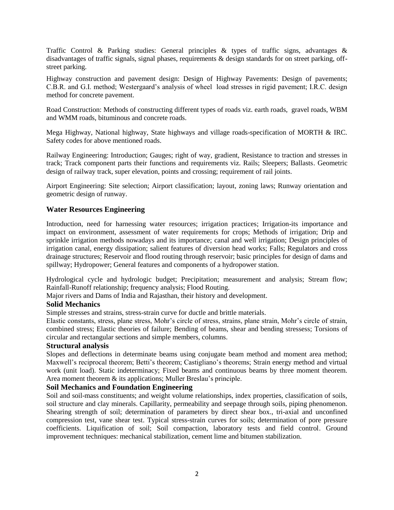Traffic Control & Parking studies: General principles & types of traffic signs, advantages & disadvantages of traffic signals, signal phases, requirements & design standards for on street parking, offstreet parking.

Highway construction and pavement design: Design of Highway Pavements: Design of pavements; C.B.R. and G.I. method; Westergaard's analysis of wheel load stresses in rigid pavement; I.R.C. design method for concrete pavement.

Road Construction: Methods of constructing different types of roads viz. earth roads, gravel roads, WBM and WMM roads, bituminous and concrete roads.

Mega Highway, National highway, State highways and village roads-specification of MORTH & IRC. Safety codes for above mentioned roads.

Railway Engineering: Introduction; Gauges; right of way, gradient, Resistance to traction and stresses in track; Track component parts their functions and requirements viz. Rails; Sleepers; Ballasts. Geometric design of railway track, super elevation, points and crossing; requirement of rail joints.

Airport Engineering: Site selection; Airport classification; layout, zoning laws; Runway orientation and geometric design of runway.

## **Water Resources Engineering**

Introduction, need for harnessing water resources; irrigation practices; Irrigation-its importance and impact on environment, assessment of water requirements for crops; Methods of irrigation; Drip and sprinkle irrigation methods nowadays and its importance; canal and well irrigation; Design principles of irrigation canal, energy dissipation; salient features of diversion head works; Falls; Regulators and cross drainage structures; Reservoir and flood routing through reservoir; basic principles for design of dams and spillway; Hydropower; General features and components of a hydropower station.

Hydrological cycle and hydrologic budget; Precipitation; measurement and analysis; Stream flow; Rainfall-Runoff relationship; frequency analysis; Flood Routing.

Major rivers and Dams of India and Rajasthan, their history and development.

## **Solid Mechanics**

Simple stresses and strains, stress-strain curve for ductle and brittle materials.

Elastic constants, stress, plane stress, Mohr's circle of stress, strains, plane strain, Mohr's circle of strain, combined stress; Elastic theories of failure; Bending of beams, shear and bending stressess; Torsions of circular and rectangular sections and simple members, columns.

#### **Structural analysis**

Slopes and deflections in determinate beams using conjugate beam method and moment area method; Maxwell's reciprocal theorem; Betti's theorem; Castigliano's theorems; Strain energy method and virtual work (unit load). Static indeterminacy; Fixed beams and continuous beams by three moment theorem. Area moment theorem & its applications; Muller Breslau's principle.

## **Soil Mechanics and Foundation Engineering**

Soil and soil-mass constituents; and weight volume relationships, index properties, classification of soils, soil structure and clay minerals. Capillarity, permeability and seepage through soils, piping phenomenon. Shearing strength of soil; determination of parameters by direct shear box., tri-axial and unconfined compression test, vane shear test. Typical stress-strain curves for soils; determination of pore pressure coefficients. Liquification of soil; Soil compaction, laboratory tests and field control. Ground improvement techniques: mechanical stabilization, cement lime and bitumen stabilization.